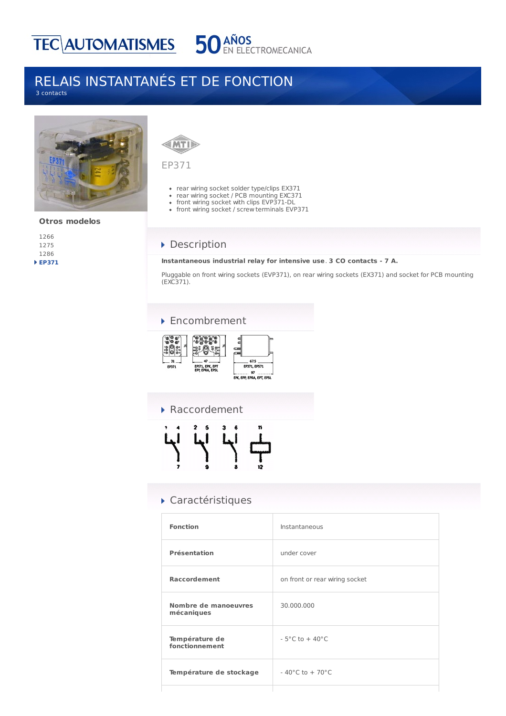

## RELAIS INSTANTANÉS ET DE FONCTION 3 contacts



### **Otros modelos**

# **MTI**

### EP371

- rear wiring socket solder type/clips EX371
- rear wiring socket / PCB mounting EXC371
- front wiring socket with clips EVP371-DL
- front wiring socket / screw terminals EVP371

## Description

#### **Instantaneous industrial relay for intensive use**. **3 CO contacts - 7 A.**

Pluggable on front wiring sockets (EVP371), on rear wiring sockets (EX371) and socket for PCB mounting (EXC371).

### ▶ Encombrement



▶ Raccordement 5

# Caractéristiques

| <b>Fonction</b>                    | Instantaneous                      |
|------------------------------------|------------------------------------|
| <b>Présentation</b>                | under cover                        |
| <b>Raccordement</b>                | on front or rear wiring socket     |
| Nombre de manoeuvres<br>mécaniques | 30.000.000                         |
| Température de<br>fonctionnement   | $-5^{\circ}$ C to $+40^{\circ}$ C  |
| Température de stockage            | $-40^{\circ}$ C to $+70^{\circ}$ C |
|                                    |                                    |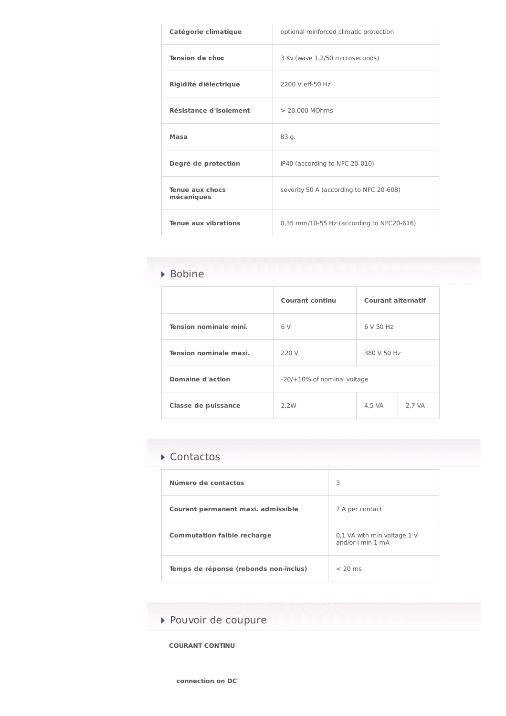| Catégorie climatique          | optional reinforced climatic protection   |  |
|-------------------------------|-------------------------------------------|--|
| <b>Tension de choc</b>        | 3 Kv (wave 1,2/50 microseconds)           |  |
| Rigidité diélectrique         | 2200 V eff-50 Hz                          |  |
| Résistance d'isolement        | > 20.000 MOhms                            |  |
| Masa                          | 83 g.                                     |  |
| Degré de protection           | IP40 (according to NFC 20-010)            |  |
| Tenue aux chocs<br>mécaniques | severity 50 A (according to NFC 20-608)   |  |
| Tenue aux vibrations          | 0,35 mm/10-55 Hz (according to NFC20-616) |  |

# Bobine

|                               | <b>Courant continu</b>         | <b>Courant alternatif</b> |        |
|-------------------------------|--------------------------------|---------------------------|--------|
| <b>Tension nominale mini.</b> | 6V                             | 6 V 50 Hz                 |        |
| Tension nominale maxi.        | 220 V                          | 380 V 50 Hz               |        |
| <b>Domaine d'action</b>       | $-20/+10\%$ of nominal voltage |                           |        |
| Classe de puissance           | 2.2W                           | 4,5 VA                    | 2,7 VA |

# ▶ Contactos

| Número de contactos                   | 3                                                |
|---------------------------------------|--------------------------------------------------|
| Courant permanent maxi. admissible    | 7 A per contact                                  |
| <b>Commutation faible recharge</b>    | 0,1 VA with min voltage 1 V<br>and/or I min 1 mA |
| Temps de réponse (rebonds non-inclus) | $<$ 20 ms                                        |

▶ Pouvoir de coupure

**COURANT CONTINU**

**connection on DC**